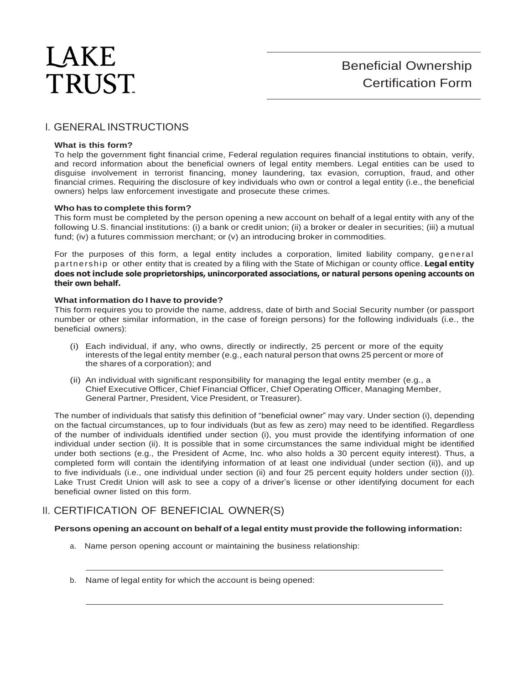# LAKE **TRUST**

## I. GENERAL INSTRUCTIONS

## **What is this form?**

To help the government fight financial crime, Federal regulation requires financial institutions to obtain, verify, and record information about the beneficial owners of legal entity members. Legal entities can be used to disguise involvement in terrorist financing, money laundering, tax evasion, corruption, fraud, and other financial crimes. Requiring the disclosure of key individuals who own or control a legal entity (i.e., the beneficial owners) helps law enforcement investigate and prosecute these crimes.

## **Who has to complete this form?**

This form must be completed by the person opening a new account on behalf of a legal entity with any of the following U.S. financial institutions: (i) a bank or credit union; (ii) a broker or dealer in securities; (iii) a mutual fund; (iv) a futures commission merchant; or (v) an introducing broker in commodities.

For the purposes of this form, a legal entity includes a corporation, limited liability company, general partnership or other entity that is created by a filing with the State of Michigan or county office. **Legal entity does not include sole proprietorships, unincorporated associations, or natural persons opening accounts on their own behalf.**

## **What information do I have to provide?**

This form requires you to provide the name, address, date of birth and Social Security number (or passport number or other similar information, in the case of foreign persons) for the following individuals (i.e., the beneficial owners):

- (i) Each individual, if any, who owns, directly or indirectly, 25 percent or more of the equity interests of the legal entity member (e.g., each natural person that owns 25 percent or more of the shares of a corporation); and
- (ii) An individual with significant responsibility for managing the legal entity member (e.g., a Chief Executive Officer, Chief Financial Officer, Chief Operating Officer, Managing Member, General Partner, President, Vice President, or Treasurer).

The number of individuals that satisfy this definition of "beneficial owner" may vary. Under section (i), depending on the factual circumstances, up to four individuals (but as few as zero) may need to be identified. Regardless of the number of individuals identified under section (i), you must provide the identifying information of one individual under section (ii). It is possible that in some circumstances the same individual might be identified under both sections (e.g., the President of Acme, Inc. who also holds a 30 percent equity interest). Thus, a completed form will contain the identifying information of at least one individual (under section (ii)), and up to five individuals (i.e., one individual under section (ii) and four 25 percent equity holders under section (i)). Lake Trust Credit Union will ask to see a copy of a driver's license or other identifying document for each beneficial owner listed on this form.

## II. CERTIFICATION OF BENEFICIAL OWNER(S)

## **Persons opening an account on behalf of a legal entity must provide the following information:**

- a. Name person opening account or maintaining the business relationship:
- b. Name of legal entity for which the account is being opened: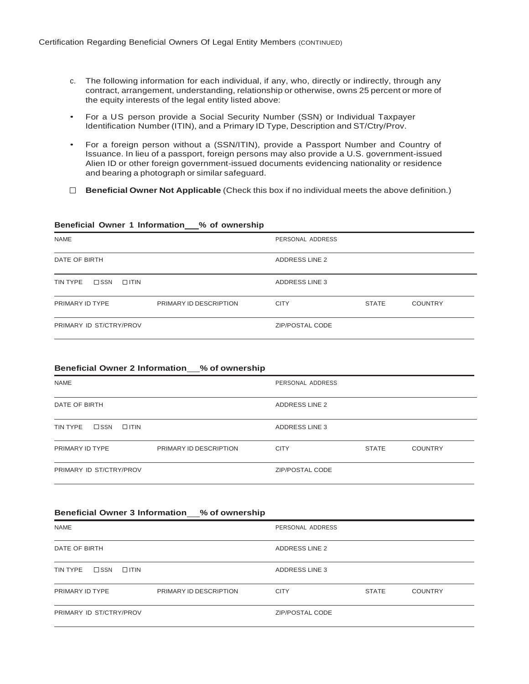- c. The following information for each individual, if any, who, directly or indirectly, through any contract, arrangement, understanding, relationship or otherwise, owns 25 percent or more of the equity interests of the legal entity listed above:
- For a US person provide a Social Security Number (SSN) or Individual Taxpayer Identification Number (ITIN), and a Primary ID Type, Description and ST/Ctry/Prov.
- For a foreign person without a (SSN/ITIN), provide a Passport Number and Country of Issuance. In lieu of a passport, foreign persons may also provide a U.S. government-issued Alien ID or other foreign government-issued documents evidencing nationality or residence and bearing a photograph or similar safeguard.
- **Beneficial Owner Not Applicable** (Check this box if no individual meets the above definition.)

## **Beneficial Owner 1 Information % of ownership**

| <b>NAME</b>                              |                        | PERSONAL ADDRESS       |              |                |
|------------------------------------------|------------------------|------------------------|--------------|----------------|
| DATE OF BIRTH                            |                        | ADDRESS LINE 2         |              |                |
| $\square$ SSN<br>TIN TYPE<br>$\Box$ ITIN |                        | ADDRESS LINE 3         |              |                |
| PRIMARY ID TYPE                          | PRIMARY ID DESCRIPTION | <b>CITY</b>            | <b>STATE</b> | <b>COUNTRY</b> |
| PRIMARY ID ST/CTRY/PROV                  |                        | <b>ZIP/POSTAL CODE</b> |              |                |

## **Beneficial Owner 2 Information % of ownership**

| <b>NAME</b>                               | PERSONAL ADDRESS                              |
|-------------------------------------------|-----------------------------------------------|
| DATE OF BIRTH                             | <b>ADDRESS LINE 2</b>                         |
| $\square$ SSN<br>TIN TYPE<br>$\Box$ ITIN  | <b>ADDRESS LINE 3</b>                         |
| PRIMARY ID TYPE<br>PRIMARY ID DESCRIPTION | <b>CITY</b><br><b>STATE</b><br><b>COUNTRY</b> |
| PRIMARY ID ST/CTRY/PROV                   | ZIP/POSTAL CODE                               |

#### **Beneficial Owner 3 Information % of ownership**

| <b>NAME</b>                               | PERSONAL ADDRESS |              |                |
|-------------------------------------------|------------------|--------------|----------------|
| DATE OF BIRTH                             | ADDRESS LINE 2   |              |                |
| $\square$ SSN<br>TIN TYPE<br>$\Box$ ITIN  | ADDRESS LINE 3   |              |                |
| PRIMARY ID TYPE<br>PRIMARY ID DESCRIPTION | <b>CITY</b>      | <b>STATE</b> | <b>COUNTRY</b> |
| PRIMARY ID ST/CTRY/PROV                   | ZIP/POSTAL CODE  |              |                |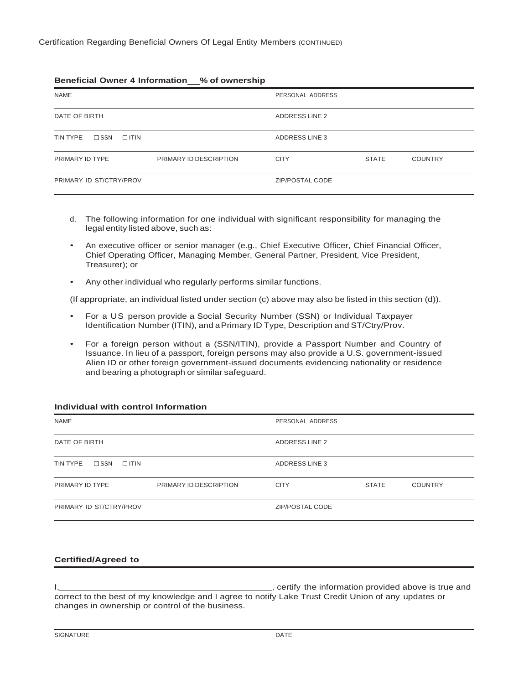## **Beneficial Owner 4 Information % of ownership**

| <b>NAME</b>                              |                        | PERSONAL ADDRESS |              |                |
|------------------------------------------|------------------------|------------------|--------------|----------------|
| DATE OF BIRTH                            |                        | ADDRESS LINE 2   |              |                |
| TIN TYPE<br>$\square$ SSN<br>$\Box$ ITIN |                        | ADDRESS LINE 3   |              |                |
| PRIMARY ID TYPE                          | PRIMARY ID DESCRIPTION | <b>CITY</b>      | <b>STATE</b> | <b>COUNTRY</b> |
| PRIMARY ID ST/CTRY/PROV                  |                        | ZIP/POSTAL CODE  |              |                |

- d. The following information for one individual with significant responsibility for managing the legal entity listed above, such as:
- An executive officer or senior manager (e.g., Chief Executive Officer, Chief Financial Officer, Chief Operating Officer, Managing Member, General Partner, President, Vice President, Treasurer); or
- Any other individual who regularly performs similar functions.

(If appropriate, an individual listed under section (c) above may also be listed in this section (d)).

- For a US person provide a Social Security Number (SSN) or Individual Taxpayer Identification Number (ITIN), and a Primary ID Type, Description and ST/Ctry/Prov.
- For a foreign person without a (SSN/ITIN), provide a Passport Number and Country of Issuance. In lieu of a passport, foreign persons may also provide a U.S. government-issued Alien ID or other foreign government-issued documents evidencing nationality or residence and bearing a photograph or similar safeguard.

## **Individual with control Information**

| <b>NAME</b>                              |                        | PERSONAL ADDRESS       |              |                |
|------------------------------------------|------------------------|------------------------|--------------|----------------|
| DATE OF BIRTH                            |                        | <b>ADDRESS LINE 2</b>  |              |                |
| $\square$ SSN<br>$\Box$ ITIN<br>TIN TYPE |                        | ADDRESS LINE 3         |              |                |
| PRIMARY ID TYPE                          | PRIMARY ID DESCRIPTION | <b>CITY</b>            | <b>STATE</b> | <b>COUNTRY</b> |
| PRIMARY ID ST/CTRY/PROV                  |                        | <b>ZIP/POSTAL CODE</b> |              |                |

## **Certified/Agreed to**

I, <u>certify</u> the information provided above is true and intervals and intervals and intervals and intervals and intervals and intervals and intervals and intervals are  $\frac{1}{2}$ , certify the information provided above is t correct to the best of my knowledge and I agree to notify Lake Trust Credit Union of any updates or changes in ownership or control of the business.